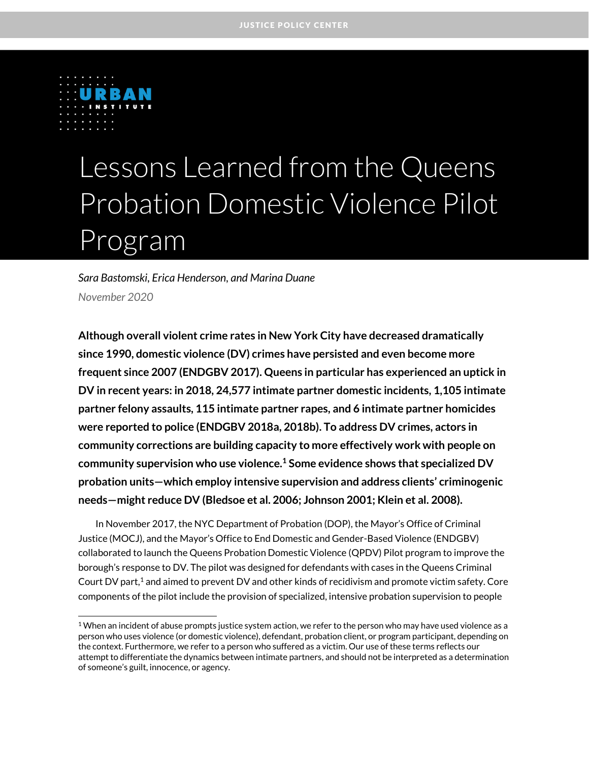

 $\overline{a}$ 

# Lessons Learned from the Queens Probation Domestic Violence Pilot Program

# *Sara Bastomski, Erica Henderson, and Marina Duane November 2020*

**Although overall violent crime rates in New York City have decreased dramatically since 1990, domestic violence (DV) crimes have persisted and even become more frequent since 2007 (ENDGBV 2017). Queens in particular has experienced an uptick in DV in recent years: in 2018, 24,577 intimate partner domestic incidents, 1,105 intimate partner felony assaults, 115 intimate partner rapes, and 6 intimate partner homicides were reported to police (ENDGBV 2018a, 2018b). To address DV crimes, actors in community corrections are building capacity to more effectively work with people on community supervision who use violence. <sup>1</sup> Some evidence shows that specialized DV probation units—which employ intensive supervision and address clients' criminogenic needs—might reduce DV (Bledsoe et al. 2006; Johnson 2001; Klein et al. 2008).** 

In November 2017, the NYC Department of Probation (DOP), the Mayor's Office of Criminal Justice (MOCJ), and the Mayor's Office to End Domestic and Gender-Based Violence (ENDGBV) collaborated to launch the Queens Probation Domestic Violence (QPDV) Pilot program to improve the borough's response to DV. The pilot was designed for defendants with cases in the Queens Criminal Court DV part, $1$  and aimed to prevent DV and other kinds of recidivism and promote victim safety. Core components of the pilot include the provision of specialized, intensive probation supervision to people

 $1$  When an incident of abuse prompts justice system action, we refer to the person who may have used violence as a person who uses violence (or domestic violence), defendant, probation client, or program participant, depending on the context. Furthermore, we refer to a person who suffered as a victim. Our use of these terms reflects our attempt to differentiate the dynamics between intimate partners, and should not be interpreted as a determination of someone's guilt, innocence, or agency.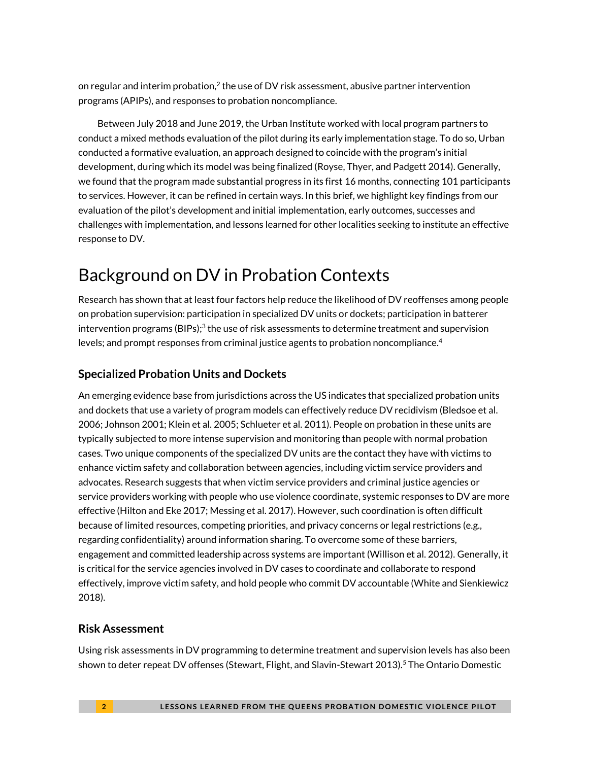on regular and interim probation,<sup>2</sup> the use of DV risk assessment, abusive partner intervention programs (APIPs), and responses to probation noncompliance.

Between July 2018 and June 2019, the Urban Institute worked with local program partners to conduct a mixed methods evaluation of the pilot during its early implementation stage. To do so, Urban conducted a formative evaluation, an approach designed to coincide with the program's initial development, during which its model was being finalized (Royse, Thyer, and Padgett 2014). Generally, we found that the program made substantial progress in its first 16 months, connecting 101 participants to services. However, it can be refined in certain ways. In this brief, we highlight key findings from our evaluation of the pilot's development and initial implementation, early outcomes, successes and challenges with implementation, and lessons learned for other localities seeking to institute an effective response to DV.

# Background on DV in Probation Contexts

Research has shown that at least four factors help reduce the likelihood of DV reoffenses among people on probation supervision: participation in specialized DV units or dockets; participation in batterer intervention programs (BIPs); $^3$  the use of risk assessments to determine treatment and supervision levels; and prompt responses from criminal justice agents to probation noncompliance. 4

## **Specialized Probation Units and Dockets**

An emerging evidence base from jurisdictions across the US indicates that specialized probation units and dockets that use a variety of program models can effectively reduce DV recidivism (Bledsoe et al. 2006; Johnson 2001; Klein et al. 2005; Schlueter et al. 2011). People on probation in these units are typically subjected to more intense supervision and monitoring than people with normal probation cases. Two unique components of the specialized DV units are the contact they have with victims to enhance victim safety and collaboration between agencies, including victim service providers and advocates. Research suggests that when victim service providers and criminal justice agencies or service providers working with people who use violence coordinate, systemic responses to DV are more effective (Hilton and Eke 2017; Messing et al. 2017). However, such coordination is often difficult because of limited resources, competing priorities, and privacy concerns or legal restrictions (e.g., regarding confidentiality) around information sharing. To overcome some of these barriers, engagement and committed leadership across systems are important (Willison et al. 2012). Generally, it is critical for the service agencies involved in DV cases to coordinate and collaborate to respond effectively, improve victim safety, and hold people who commit DV accountable (White and Sienkiewicz 2018).

### **Risk Assessment**

Using risk assessments in DV programming to determine treatment and supervision levels has also been shown to deter repeat DV offenses (Stewart, Flight, and Slavin-Stewart 2013). <sup>5</sup> The Ontario Domestic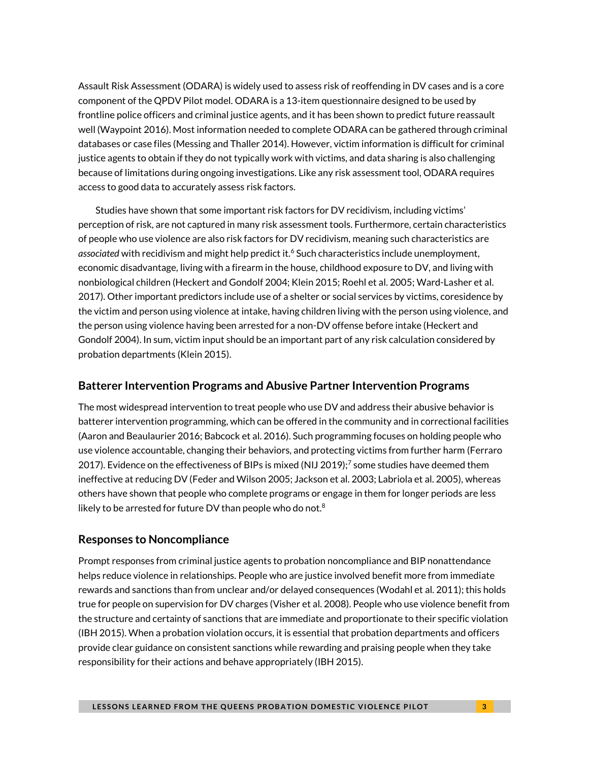Assault Risk Assessment (ODARA) is widely used to assess risk of reoffending in DV cases and is a core component of the QPDV Pilot model. ODARA is a 13-item questionnaire designed to be used by frontline police officers and criminal justice agents, and it has been shown to predict future reassault well (Waypoint 2016). Most information needed to complete ODARA can be gathered through criminal databases or case files (Messing and Thaller 2014). However, victim information is difficult for criminal justice agents to obtain if they do not typically work with victims, and data sharing is also challenging because of limitations during ongoing investigations. Like any risk assessment tool, ODARA requires access to good data to accurately assess risk factors.

Studies have shown that some important risk factors for DV recidivism, including victims' perception of risk, are not captured in many risk assessment tools. Furthermore, certain characteristics of people who use violence are also risk factors for DV recidivism, meaning such characteristics are associated with recidivism and might help predict it.<sup>6</sup> Such characteristics include unemployment, economic disadvantage, living with a firearm in the house, childhood exposure to DV, and living with nonbiological children (Heckert and Gondolf 2004; Klein 2015; Roehl et al. 2005; Ward-Lasher et al. 2017). Other important predictors include use of a shelter or social services by victims, coresidence by the victim and person using violence at intake, having children living with the person using violence, and the person using violence having been arrested for a non-DV offense before intake (Heckert and Gondolf 2004). In sum, victim input should be an important part of any risk calculation considered by probation departments (Klein 2015).

### **Batterer Intervention Programs and Abusive Partner Intervention Programs**

The most widespread intervention to treat people who use DV and address their abusive behavior is batterer intervention programming, which can be offered in the community and in correctional facilities (Aaron and Beaulaurier 2016; Babcock et al. 2016). Such programming focuses on holding people who use violence accountable, changing their behaviors, and protecting victims from further harm (Ferraro 2017). Evidence on the effectiveness of BIPs is mixed (NIJ 2019); $^7$  some studies have deemed them ineffective at reducing DV (Feder and Wilson 2005; Jackson et al. 2003; Labriola et al. 2005), whereas others have shown that people who complete programs or engage in them for longer periods are less likely to be arrested for future DV than people who do not. $^8$ 

### **Responses to Noncompliance**

Prompt responses from criminal justice agents to probation noncompliance and BIP nonattendance helps reduce violence in relationships. People who are justice involved benefit more from immediate rewards and sanctions than from unclear and/or delayed consequences (Wodahl et al. 2011); this holds true for people on supervision for DV charges (Visher et al. 2008). People who use violence benefit from the structure and certainty of sanctions that are immediate and proportionate to their specific violation (IBH 2015). When a probation violation occurs, it is essential that probation departments and officers provide clear guidance on consistent sanctions while rewarding and praising people when they take responsibility for their actions and behave appropriately (IBH 2015).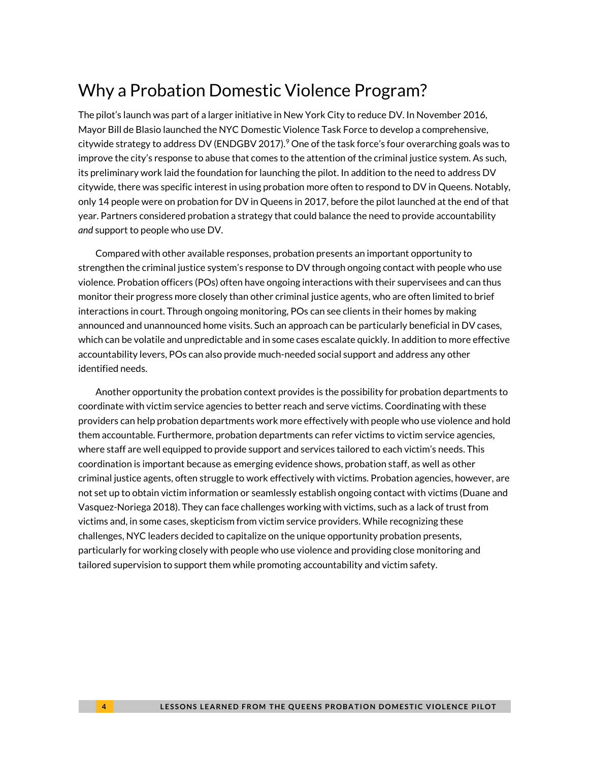# Why a Probation Domestic Violence Program?

The pilot's launch was part of a larger initiative in New York City to reduce DV. In November 2016, Mayor Bill de Blasio launched the NYC Domestic Violence Task Force to develop a comprehensive, citywide strategy to address DV (ENDGBV 2017).<sup>9</sup> One of the task force's four overarching goals was to improve the city's response to abuse that comes to the attention of the criminal justice system. As such, its preliminary work laid the foundation for launching the pilot. In addition to the need to address DV citywide, there was specific interest in using probation more often to respond to DV in Queens. Notably, only 14 people were on probation for DV in Queens in 2017, before the pilot launched at the end of that year. Partners considered probation a strategy that could balance the need to provide accountability *and* support to people who use DV.

Compared with other available responses, probation presents an important opportunity to strengthen the criminal justice system's response to DV through ongoing contact with people who use violence. Probation officers (POs) often have ongoing interactions with their supervisees and can thus monitor their progress more closely than other criminal justice agents, who are often limited to brief interactions in court. Through ongoing monitoring, POs can see clients in their homes by making announced and unannounced home visits. Such an approach can be particularly beneficial in DV cases, which can be volatile and unpredictable and in some cases escalate quickly. In addition to more effective accountability levers, POs can also provide much-needed social support and address any other identified needs.

Another opportunity the probation context provides is the possibility for probation departments to coordinate with victim service agencies to better reach and serve victims. Coordinating with these providers can help probation departments work more effectively with people who use violence and hold them accountable. Furthermore, probation departments can refer victims to victim service agencies, where staff are well equipped to provide support and services tailored to each victim's needs. This coordination is important because as emerging evidence shows, probation staff, as well as other criminal justice agents, often struggle to work effectively with victims. Probation agencies, however, are not set up to obtain victim information or seamlessly establish ongoing contact with victims (Duane and Vasquez-Noriega 2018). They can face challenges working with victims, such as a lack of trust from victims and, in some cases, skepticism from victim service providers. While recognizing these challenges, NYC leaders decided to capitalize on the unique opportunity probation presents, particularly for working closely with people who use violence and providing close monitoring and tailored supervision to support them while promoting accountability and victim safety.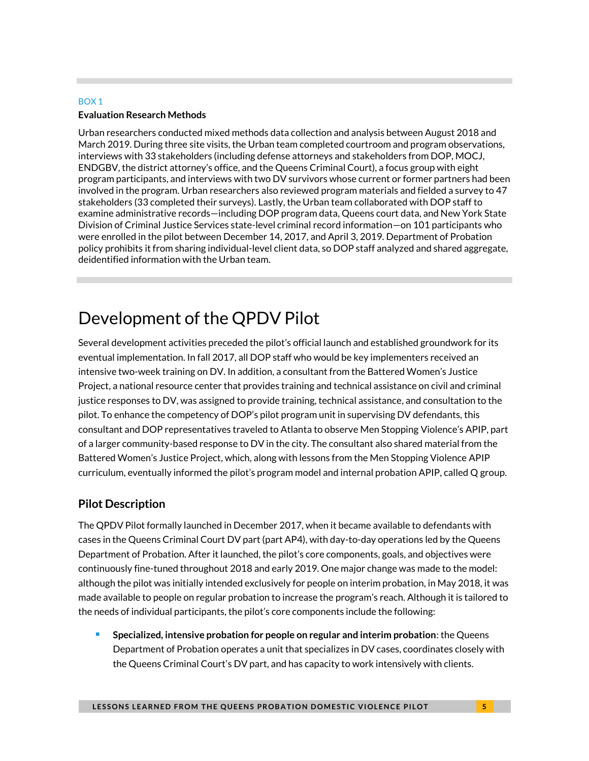#### BOX 1

#### **Evaluation Research Methods**

Urban researchers conducted mixed methods data collection and analysis between August 2018 and March 2019. During three site visits, the Urban team completed courtroom and program observations, interviews with 33 stakeholders (including defense attorneys and stakeholders from DOP, MOCJ, ENDGBV, the district attorney's office, and the Queens Criminal Court), a focus group with eight program participants, and interviews with two DV survivors whose current or former partners had been involved in the program. Urban researchers also reviewed program materials and fielded a survey to 47 stakeholders (33 completed their surveys). Lastly, the Urban team collaborated with DOP staff to examine administrative records—including DOP program data, Queens court data, and New York State Division of Criminal Justice Services state-level criminal record information—on 101 participants who were enrolled in the pilot between December 14, 2017, and April 3, 2019. Department of Probation policy prohibits it from sharing individual-level client data, so DOP staff analyzed and shared aggregate, deidentified information with the Urban team.

# Development of the QPDV Pilot

Several development activities preceded the pilot's official launch and established groundwork for its eventual implementation. In fall 2017, all DOP staff who would be key implementers received an intensive two-week training on DV. In addition, a consultant from the Battered Women's Justice Project, a national resource center that provides training and technical assistance on civil and criminal justice responses to DV, was assigned to provide training, technical assistance, and consultation to the pilot. To enhance the competency of DOP's pilot program unit in supervising DV defendants, this consultant and DOP representatives traveled to Atlanta to observe Men Stopping Violence's APIP, part of a larger community-based response to DV in the city. The consultant also shared material from the Battered Women's Justice Project, which, along with lessons from the Men Stopping Violence APIP curriculum, eventually informed the pilot's program model and internal probation APIP, called Q group.

### **Pilot Description**

The QPDV Pilot formally launched in December 2017, when it became available to defendants with cases in the Queens Criminal Court DV part (part AP4), with day-to-day operations led by the Queens Department of Probation. After it launched, the pilot's core components, goals, and objectives were continuously fine-tuned throughout 2018 and early 2019. One major change was made to the model: although the pilot was initially intended exclusively for people on interim probation, in May 2018, it was made available to people on regular probation to increase the program's reach. Although it is tailored to the needs of individual participants, the pilot's core components include the following:

■ Specialized, intensive probation for people on regular and interim probation: the Queens Department of Probation operates a unit that specializes in DV cases, coordinates closely with the Queens Criminal Court's DV part, and has capacity to work intensively with clients.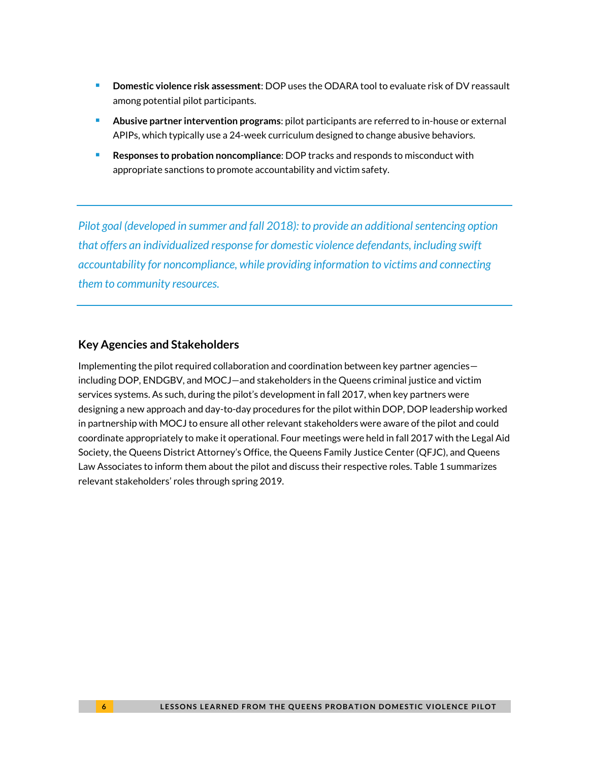- <sup>◼</sup> **Domestic violence risk assessment**: DOP uses the ODARA tool to evaluate risk of DV reassault among potential pilot participants.
- <sup>◼</sup> **Abusive partner intervention programs**: pilot participants are referred to in-house or external APIPs, which typically use a 24-week curriculum designed to change abusive behaviors.
- <sup>◼</sup> **Responses to probation noncompliance**: DOP tracks and responds to misconduct with appropriate sanctions to promote accountability and victim safety.

*Pilot goal (developed in summer and fall 2018): to provide an additional sentencing option that offers an individualized response for domestic violence defendants, including swift accountability for noncompliance, while providing information to victims and connecting them to community resources.*

### **Key Agencies and Stakeholders**

Implementing the pilot required collaboration and coordination between key partner agencies including DOP, ENDGBV, and MOCJ—and stakeholders in the Queens criminal justice and victim services systems. As such, during the pilot's development in fall 2017, when key partners were designing a new approach and day-to-day procedures for the pilot within DOP, DOP leadership worked in partnership with MOCJ to ensure all other relevant stakeholders were aware of the pilot and could coordinate appropriately to make it operational. Four meetings were held in fall 2017 with the Legal Aid Society, the Queens District Attorney's Office, the Queens Family Justice Center (QFJC), and Queens Law Associates to inform them about the pilot and discuss their respective roles. Table 1 summarizes relevant stakeholders' roles through spring 2019.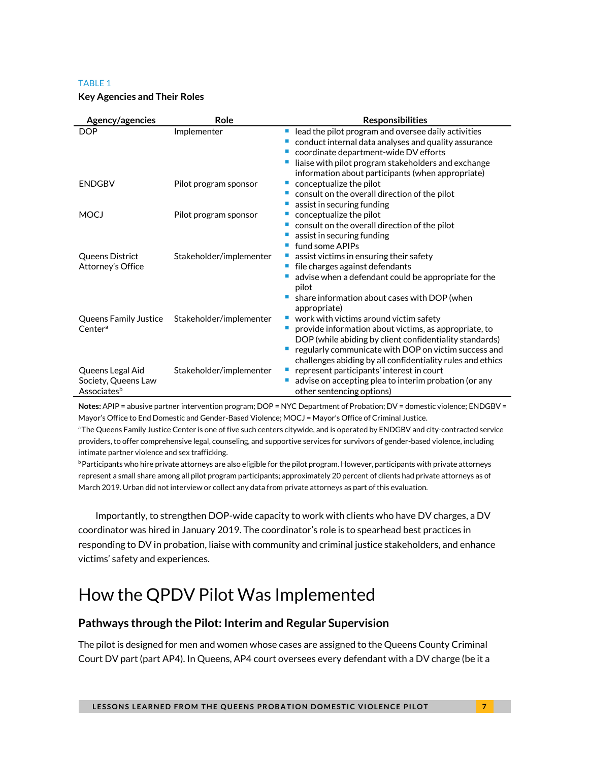#### TABLE 1

#### **Key Agencies and Their Roles**

| Agency/agencies                                        | Role                    | <b>Responsibilities</b>                                                                                                                                                                                                                                                                         |
|--------------------------------------------------------|-------------------------|-------------------------------------------------------------------------------------------------------------------------------------------------------------------------------------------------------------------------------------------------------------------------------------------------|
| <b>DOP</b>                                             | Implementer             | lead the pilot program and oversee daily activities<br>conduct internal data analyses and quality assurance<br>coordinate department-wide DV efforts                                                                                                                                            |
|                                                        |                         | liaise with pilot program stakeholders and exchange<br>information about participants (when appropriate)                                                                                                                                                                                        |
| <b>ENDGBV</b>                                          | Pilot program sponsor   | conceptualize the pilot<br>consult on the overall direction of the pilot                                                                                                                                                                                                                        |
| <b>MOCJ</b>                                            | Pilot program sponsor   | assist in securing funding<br>conceptualize the pilot                                                                                                                                                                                                                                           |
|                                                        |                         | consult on the overall direction of the pilot<br>assist in securing funding<br>fund some APIPs                                                                                                                                                                                                  |
| Queens District<br>Attorney's Office                   | Stakeholder/implementer | assist victims in ensuring their safety<br>file charges against defendants<br>advise when a defendant could be appropriate for the<br>pilot                                                                                                                                                     |
|                                                        |                         | share information about cases with DOP (when<br>appropriate)                                                                                                                                                                                                                                    |
| Queens Family Justice<br>Center <sup>a</sup>           | Stakeholder/implementer | vork with victims around victim safety<br>provide information about victims, as appropriate, to<br><b>STAR</b><br>DOP (while abiding by client confidentiality standards)<br>regularly communicate with DOP on victim success and<br>challenges abiding by all confidentiality rules and ethics |
| Queens Legal Aid<br>Society, Queens Law<br>Associatesb | Stakeholder/implementer | represent participants' interest in court<br>advise on accepting plea to interim probation (or any<br>other sentencing options)                                                                                                                                                                 |

**Notes:** APIP = abusive partner intervention program; DOP = NYC Department of Probation; DV = domestic violence; ENDGBV = Mayor's Office to End Domestic and Gender-Based Violence; MOCJ = Mayor's Office of Criminal Justice.

aThe Queens Family Justice Center is one of five such centers citywide, and is operated by ENDGBV and city-contracted service providers, to offer comprehensive legal, counseling, and supportive services for survivors of gender-based violence, including intimate partner violence and sex trafficking.

**PParticipants who hire private attorneys are also eligible for the pilot program. However, participants with private attorneys** represent a small share among all pilot program participants; approximately 20 percent of clients had private attorneys as of March 2019. Urban did not interview or collect any data from private attorneys as part of this evaluation.

Importantly, to strengthen DOP-wide capacity to work with clients who have DV charges, a DV coordinator was hired in January 2019. The coordinator's role is to spearhead best practices in responding to DV in probation, liaise with community and criminal justice stakeholders, and enhance victims' safety and experiences.

# How the QPDV Pilot Was Implemented

### **Pathways through the Pilot: Interim and Regular Supervision**

The pilot is designed for men and women whose cases are assigned to the Queens County Criminal Court DV part (part AP4). In Queens, AP4 court oversees every defendant with a DV charge (be it a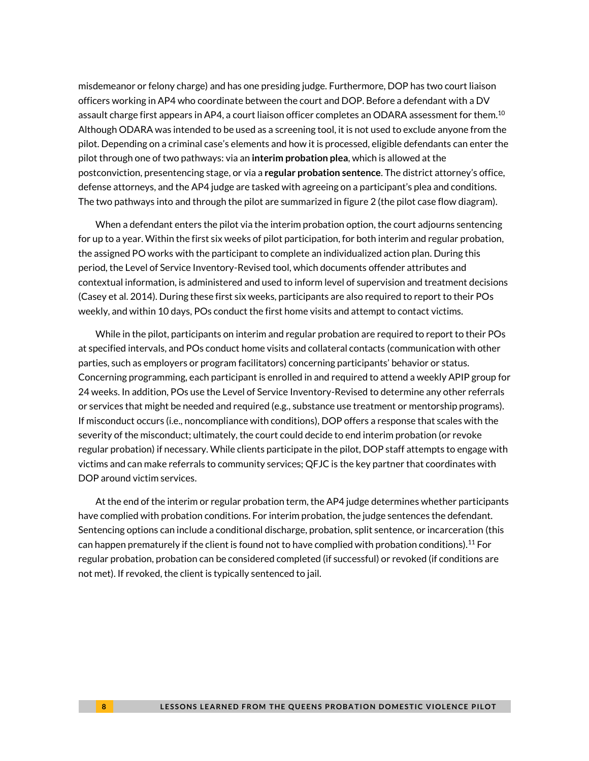misdemeanor or felony charge) and has one presiding judge. Furthermore, DOP has two court liaison officers working in AP4 who coordinate between the court and DOP. Before a defendant with a DV assault charge first appears in AP4, a court liaison officer completes an ODARA assessment for them. $^{10}$ Although ODARA was intended to be used as a screening tool, it is not used to exclude anyone from the pilot. Depending on a criminal case's elements and how it is processed, eligible defendants can enter the pilot through one of two pathways: via an **interim probation plea**, which is allowed at the postconviction, presentencing stage, or via a **regular probation sentence**. The district attorney's office, defense attorneys, and the AP4 judge are tasked with agreeing on a participant's plea and conditions. The two pathways into and through the pilot are summarized in figure 2 (the pilot case flow diagram).

When a defendant enters the pilot via the interim probation option, the court adjourns sentencing for up to a year. Within the first six weeks of pilot participation, for both interim and regular probation, the assigned PO works with the participant to complete an individualized action plan. During this period, the Level of Service Inventory-Revised tool, which documents offender attributes and contextual information, is administered and used to inform level of supervision and treatment decisions (Casey et al. 2014). During these first six weeks, participants are also required to report to their POs weekly, and within 10 days, POs conduct the first home visits and attempt to contact victims.

While in the pilot, participants on interim and regular probation are required to report to their POs at specified intervals, and POs conduct home visits and collateral contacts (communication with other parties, such as employers or program facilitators) concerning participants' behavior or status. Concerning programming, each participant is enrolled in and required to attend a weekly APIP group for 24 weeks. In addition, POs use the Level of Service Inventory-Revised to determine any other referrals or services that might be needed and required (e.g., substance use treatment or mentorship programs). If misconduct occurs (i.e., noncompliance with conditions), DOP offers a response that scales with the severity of the misconduct; ultimately, the court could decide to end interim probation (or revoke regular probation) if necessary. While clients participate in the pilot, DOP staff attempts to engage with victims and can make referrals to community services; QFJC is the key partner that coordinates with DOP around victim services.

At the end of the interim or regular probation term, the AP4 judge determines whether participants have complied with probation conditions. For interim probation, the judge sentences the defendant. Sentencing options can include a conditional discharge, probation, split sentence, or incarceration (this can happen prematurely if the client is found not to have complied with probation conditions). $^{11}$  For regular probation, probation can be considered completed (if successful) or revoked (if conditions are not met). If revoked, the client is typically sentenced to jail.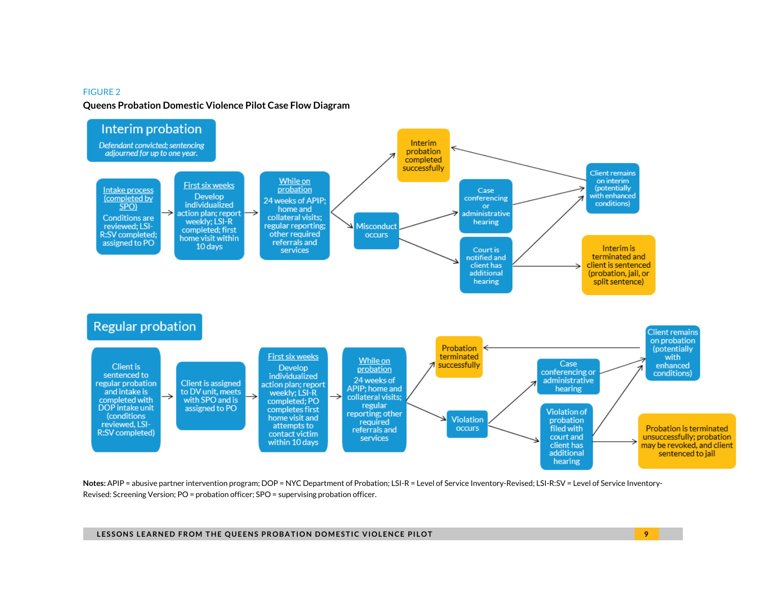#### FIGURE 2

#### **Queens Probation Domestic Violence Pilot Case Flow Diagram**



Notes: APIP = abusive partner intervention program; DOP = NYC Department of Probation; LSI-R = Level of Service Inventory-Revised; LSI-R:SV = Level of Service Inventory-Revised: Screening Version; PO = probation officer; SPO = supervising probation officer.

**LESSONS LEARNED FROM THE QUEENS PROBATION DOMESTIC VIOLENCE PILOT And a strategy of the strategy of the strategy of the strategy of the strategy of the strategy of the strategy of the strategy of the strategy of the str**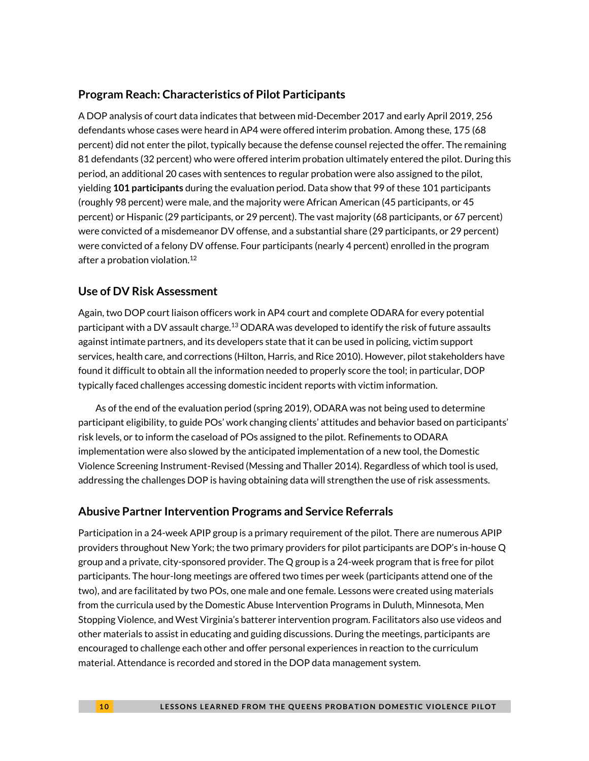### **Program Reach: Characteristics of Pilot Participants**

A DOP analysis of court data indicates that between mid-December 2017 and early April 2019, 256 defendants whose cases were heard in AP4 were offered interim probation. Among these, 175 (68 percent) did not enter the pilot, typically because the defense counsel rejected the offer. The remaining 81 defendants (32 percent) who were offered interim probation ultimately entered the pilot. During this period, an additional 20 cases with sentences to regular probation were also assigned to the pilot, yielding **101 participants** during the evaluation period. Data show that 99 of these 101 participants (roughly 98 percent) were male, and the majority were African American (45 participants, or 45 percent) or Hispanic (29 participants, or 29 percent). The vast majority (68 participants, or 67 percent) were convicted of a misdemeanor DV offense, and a substantial share (29 participants, or 29 percent) were convicted of a felony DV offense. Four participants (nearly 4 percent) enrolled in the program after a probation violation. 12

### **Use of DV Risk Assessment**

Again, two DOP court liaison officers work in AP4 court and complete ODARA for every potential participant with a DV assault charge.<sup>13</sup> ODARA was developed to identify the risk of future assaults against intimate partners, and its developers state that it can be used in policing, victim support services, health care, and corrections (Hilton, Harris, and Rice 2010). However, pilot stakeholders have found it difficult to obtain all the information needed to properly score the tool; in particular, DOP typically faced challenges accessing domestic incident reports with victim information.

As of the end of the evaluation period (spring 2019), ODARA was not being used to determine participant eligibility, to guide POs' work changing clients' attitudes and behavior based on participants' risk levels, or to inform the caseload of POs assigned to the pilot. Refinements to ODARA implementation were also slowed by the anticipated implementation of a new tool, the Domestic Violence Screening Instrument-Revised (Messing and Thaller 2014). Regardless of which tool is used, addressing the challenges DOP is having obtaining data will strengthen the use of risk assessments.

### **Abusive Partner Intervention Programs and Service Referrals**

Participation in a 24-week APIP group is a primary requirement of the pilot. There are numerous APIP providers throughout New York; the two primary providers for pilot participants are DOP's in-house Q group and a private, city-sponsored provider. The Q group is a 24-week program that is free for pilot participants. The hour-long meetings are offered two times per week (participants attend one of the two), and are facilitated by two POs, one male and one female. Lessons were created using materials from the curricula used by the Domestic Abuse Intervention Programs in Duluth, Minnesota, Men Stopping Violence, and West Virginia's batterer intervention program. Facilitators also use videos and other materials to assist in educating and guiding discussions. During the meetings, participants are encouraged to challenge each other and offer personal experiences in reaction to the curriculum material. Attendance is recorded and stored in the DOP data management system.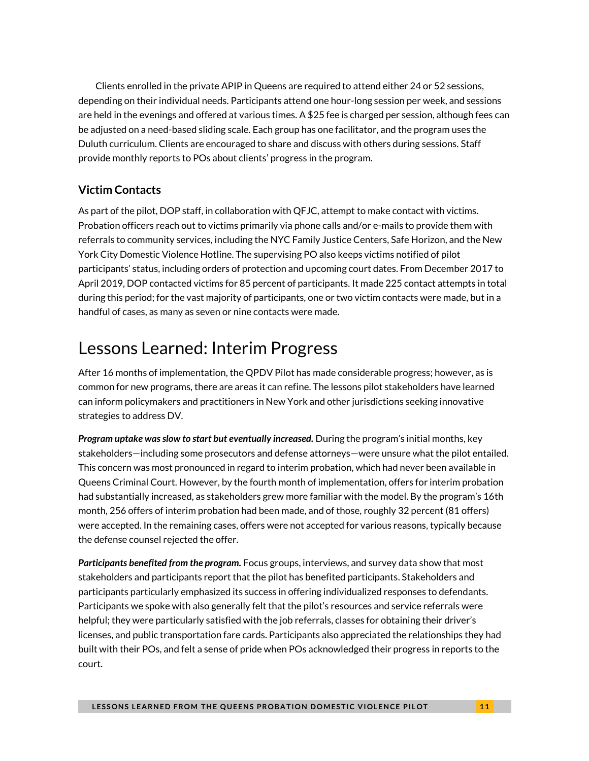Clients enrolled in the private APIP in Queens are required to attend either 24 or 52 sessions, depending on their individual needs. Participants attend one hour-long session per week, and sessions are held in the evenings and offered at various times. A \$25 fee is charged per session, although fees can be adjusted on a need-based sliding scale. Each group has one facilitator, and the program uses the Duluth curriculum. Clients are encouraged to share and discuss with others during sessions. Staff provide monthly reports to POs about clients' progress in the program.

# **Victim Contacts**

As part of the pilot, DOP staff, in collaboration with QFJC, attempt to make contact with victims. Probation officers reach out to victims primarily via phone calls and/or e-mails to provide them with referrals to community services, including the NYC Family Justice Centers, Safe Horizon, and the New York City Domestic Violence Hotline. The supervising PO also keeps victims notified of pilot participants' status, including orders of protection and upcoming court dates. From December 2017 to April 2019, DOP contacted victims for 85 percent of participants. It made 225 contact attempts in total during this period; for the vast majority of participants, one or two victim contacts were made, but in a handful of cases, as many as seven or nine contacts were made.

# Lessons Learned: Interim Progress

After 16 months of implementation, the QPDV Pilot has made considerable progress; however, as is common for new programs, there are areas it can refine. The lessons pilot stakeholders have learned can inform policymakers and practitioners in New York and other jurisdictions seeking innovative strategies to address DV.

*Program uptake was slow to start but eventually increased.* During the program's initial months, key stakeholders—including some prosecutors and defense attorneys—were unsure what the pilot entailed. This concern was most pronounced in regard to interim probation, which had never been available in Queens Criminal Court. However, by the fourth month of implementation, offers for interim probation had substantially increased, as stakeholders grew more familiar with the model. By the program's 16th month, 256 offers of interim probation had been made, and of those, roughly 32 percent (81 offers) were accepted. In the remaining cases, offers were not accepted for various reasons, typically because the defense counsel rejected the offer.

*Participants benefited from the program.* Focus groups, interviews, and survey data show that most stakeholders and participants report that the pilot has benefited participants. Stakeholders and participants particularly emphasized its success in offering individualized responses to defendants. Participants we spoke with also generally felt that the pilot's resources and service referrals were helpful; they were particularly satisfied with the job referrals, classes for obtaining their driver's licenses, and public transportation fare cards. Participants also appreciated the relationships they had built with their POs, and felt a sense of pride when POs acknowledged their progress in reports to the court.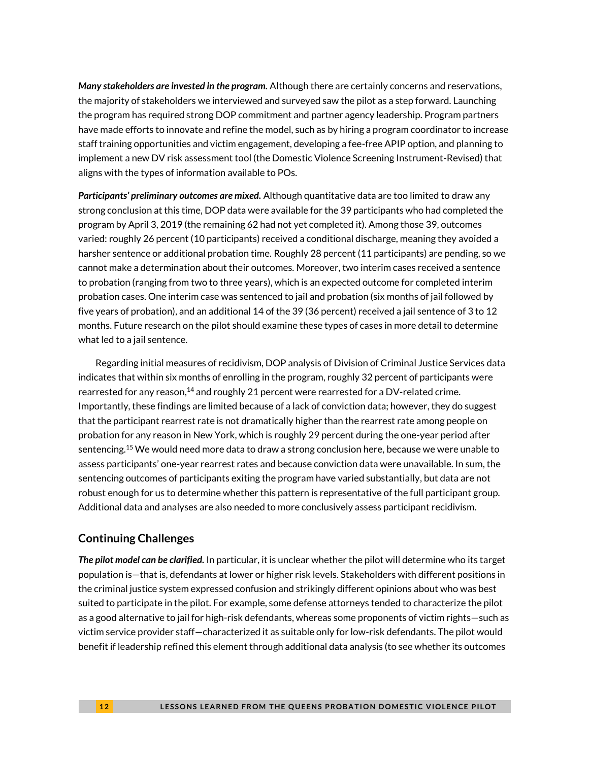*Many stakeholders are invested in the program.* Although there are certainly concerns and reservations, the majority of stakeholders we interviewed and surveyed saw the pilot as a step forward. Launching the program has required strong DOP commitment and partner agency leadership. Program partners have made efforts to innovate and refine the model, such as by hiring a program coordinator to increase staff training opportunities and victim engagement, developing a fee-free APIP option, and planning to implement a new DV risk assessment tool (the Domestic Violence Screening Instrument-Revised) that aligns with the types of information available to POs.

*Participants' preliminary outcomes are mixed.* Although quantitative data are too limited to draw any strong conclusion at this time, DOP data were available for the 39 participants who had completed the program by April 3, 2019 (the remaining 62 had not yet completed it). Among those 39, outcomes varied: roughly 26 percent (10 participants) received a conditional discharge, meaning they avoided a harsher sentence or additional probation time. Roughly 28 percent (11 participants) are pending, so we cannot make a determination about their outcomes. Moreover, two interim cases received a sentence to probation (ranging from two to three years), which is an expected outcome for completed interim probation cases. One interim case was sentenced to jail and probation (six months of jail followed by five years of probation), and an additional 14 of the 39 (36 percent) received a jail sentence of 3 to 12 months. Future research on the pilot should examine these types of cases in more detail to determine what led to a jail sentence.

Regarding initial measures of recidivism, DOP analysis of Division of Criminal Justice Services data indicates that within six months of enrolling in the program, roughly 32 percent of participants were rearrested for any reason,<sup>14</sup> and roughly 21 percent were rearrested for a DV-related crime. Importantly, these findings are limited because of a lack of conviction data; however, they do suggest that the participant rearrest rate is not dramatically higher than the rearrest rate among people on probation for any reason in New York, which is roughly 29 percent during the one-year period after sentencing.<sup>15</sup> We would need more data to draw a strong conclusion here, because we were unable to assess participants' one-year rearrest rates and because conviction data were unavailable. In sum, the sentencing outcomes of participants exiting the program have varied substantially, but data are not robust enough for us to determine whether this pattern is representative of the full participant group. Additional data and analyses are also needed to more conclusively assess participant recidivism.

### **Continuing Challenges**

*The pilot model can be clarified.* In particular, it is unclear whether the pilot will determine who its target population is—that is, defendants at lower or higher risk levels. Stakeholders with different positions in the criminal justice system expressed confusion and strikingly different opinions about who was best suited to participate in the pilot. For example, some defense attorneys tended to characterize the pilot as a good alternative to jail for high-risk defendants, whereas some proponents of victim rights—such as victim service provider staff—characterized it as suitable only for low-risk defendants. The pilot would benefit if leadership refined this element through additional data analysis (to see whether its outcomes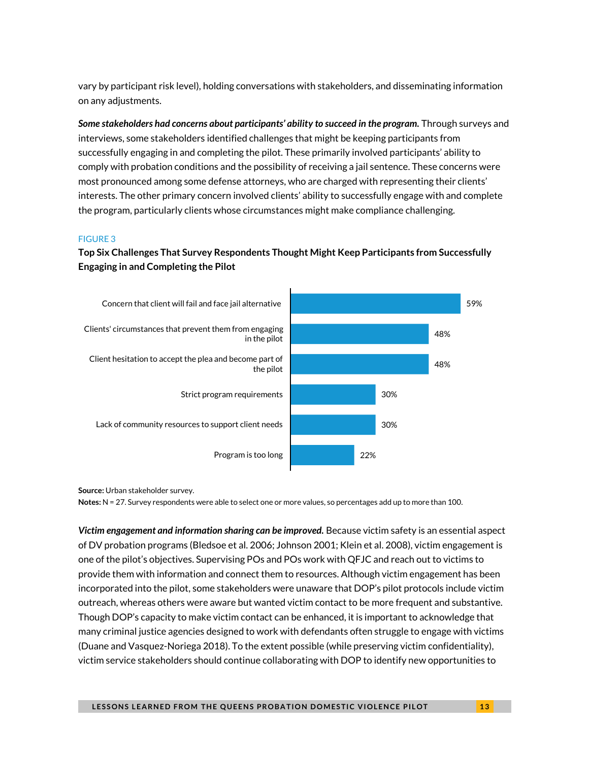vary by participant risk level), holding conversations with stakeholders, and disseminating information on any adjustments.

*Some stakeholders had concerns about participants' ability to succeed in the program.* Through surveys and interviews, some stakeholders identified challenges that might be keeping participants from successfully engaging in and completing the pilot. These primarily involved participants' ability to comply with probation conditions and the possibility of receiving a jail sentence. These concerns were most pronounced among some defense attorneys, who are charged with representing their clients' interests. The other primary concern involved clients' ability to successfully engage with and complete the program, particularly clients whose circumstances might make compliance challenging.

#### FIGURE 3

### **Top Six Challenges That Survey Respondents Thought Might Keep Participants from Successfully Engaging in and Completing the Pilot**



**Source:** Urban stakeholder survey.

**Notes:** N = 27. Survey respondents were able to select one or more values, so percentages add up to more than 100.

*Victim engagement and information sharing can be improved.* Because victim safety is an essential aspect of DV probation programs (Bledsoe et al. 2006; Johnson 2001; Klein et al. 2008), victim engagement is one of the pilot's objectives. Supervising POs and POs work with QFJC and reach out to victims to provide them with information and connect them to resources. Although victim engagement has been incorporated into the pilot, some stakeholders were unaware that DOP's pilot protocols include victim outreach, whereas others were aware but wanted victim contact to be more frequent and substantive. Though DOP's capacity to make victim contact can be enhanced, it is important to acknowledge that many criminal justice agencies designed to work with defendants often struggle to engage with victims (Duane and Vasquez-Noriega 2018). To the extent possible (while preserving victim confidentiality), victim service stakeholders should continue collaborating with DOP to identify new opportunities to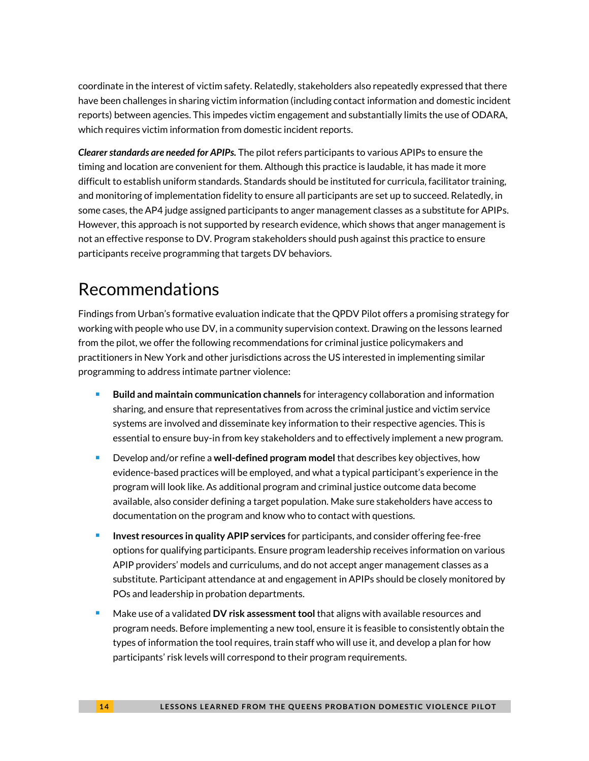coordinate in the interest of victim safety. Relatedly, stakeholders also repeatedly expressed that there have been challenges in sharing victim information (including contact information and domestic incident reports) between agencies. This impedes victim engagement and substantially limits the use of ODARA, which requires victim information from domestic incident reports.

*Clearer standards are needed for APIPs.* The pilot refers participants to various APIPs to ensure the timing and location are convenient for them. Although this practice is laudable, it has made it more difficult to establish uniform standards. Standards should be instituted for curricula, facilitator training, and monitoring of implementation fidelity to ensure all participants are set up to succeed. Relatedly, in some cases, the AP4 judge assigned participants to anger management classes as a substitute for APIPs. However, this approach is not supported by research evidence, which shows that anger management is not an effective response to DV. Program stakeholders should push against this practice to ensure participants receive programming that targets DV behaviors.

# Recommendations

Findings from Urban's formative evaluation indicate that the QPDV Pilot offers a promising strategy for working with people who use DV, in a community supervision context. Drawing on the lessons learned from the pilot, we offer the following recommendations for criminal justice policymakers and practitioners in New York and other jurisdictions across the US interested in implementing similar programming to address intimate partner violence:

- <sup>◼</sup> **Build and maintain communication channels** for interagency collaboration and information sharing, and ensure that representatives from across the criminal justice and victim service systems are involved and disseminate key information to their respective agencies. This is essential to ensure buy-in from key stakeholders and to effectively implement a new program.
- <sup>◼</sup> Develop and/or refine a **well-defined program model** that describes key objectives, how evidence-based practices will be employed, and what a typical participant's experience in the program will look like. As additional program and criminal justice outcome data become available, also consider defining a target population. Make sure stakeholders have access to documentation on the program and know who to contact with questions.
- <sup>◼</sup> **Invest resources in quality APIP services** for participants, and consider offering fee-free options for qualifying participants. Ensure program leadership receives information on various APIP providers' models and curriculums, and do not accept anger management classes as a substitute. Participant attendance at and engagement in APIPs should be closely monitored by POs and leadership in probation departments.
- Make use of a validated **DV risk assessment tool** that aligns with available resources and program needs. Before implementing a new tool, ensure it is feasible to consistently obtain the types of information the tool requires, train staff who will use it, and develop a plan for how participants' risk levels will correspond to their program requirements.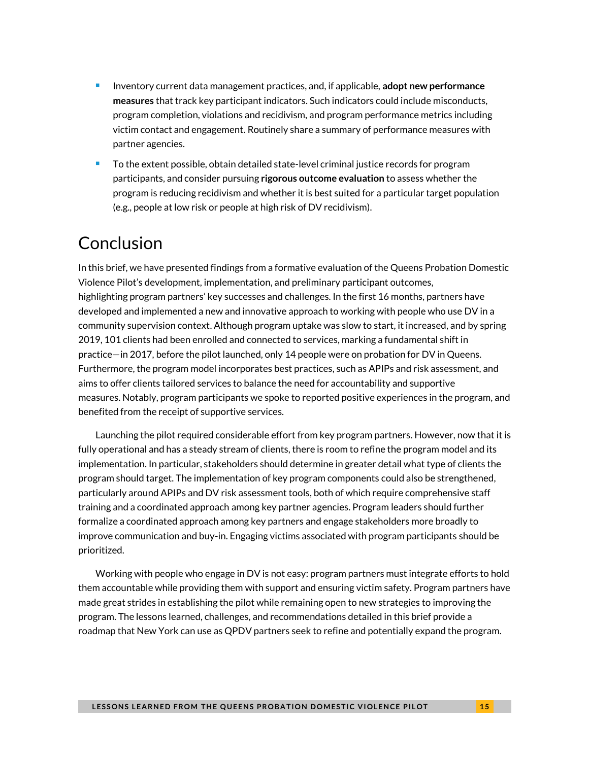- <sup>◼</sup> Inventory current data management practices, and, if applicable, **adopt new performance measures** that track key participant indicators. Such indicators could include misconducts, program completion, violations and recidivism, and program performance metrics including victim contact and engagement. Routinely share a summary of performance measures with partner agencies.
- <sup>◼</sup> To the extent possible, obtain detailed state-level criminal justice records for program participants, and consider pursuing **rigorous outcome evaluation** to assess whether the program is reducing recidivism and whether it is best suited for a particular target population (e.g., people at low risk or people at high risk of DV recidivism).

# Conclusion

In this brief, we have presented findings from a formative evaluation of the Queens Probation Domestic Violence Pilot's development, implementation, and preliminary participant outcomes, highlighting program partners' key successes and challenges. In the first 16 months, partners have developed and implemented a new and innovative approach to working with people who use DV in a community supervision context. Although program uptake was slow to start, it increased, and by spring 2019, 101 clients had been enrolled and connected to services, marking a fundamental shift in practice—in 2017, before the pilot launched, only 14 people were on probation for DV in Queens. Furthermore, the program model incorporates best practices, such as APIPs and risk assessment, and aims to offer clients tailored services to balance the need for accountability and supportive measures. Notably, program participants we spoke to reported positive experiences in the program, and benefited from the receipt of supportive services.

Launching the pilot required considerable effort from key program partners. However, now that it is fully operational and has a steady stream of clients, there is room to refine the program model and its implementation. In particular, stakeholders should determine in greater detail what type of clients the program should target. The implementation of key program components could also be strengthened, particularly around APIPs and DV risk assessment tools, both of which require comprehensive staff training and a coordinated approach among key partner agencies. Program leaders should further formalize a coordinated approach among key partners and engage stakeholders more broadly to improve communication and buy-in. Engaging victims associated with program participants should be prioritized.

Working with people who engage in DV is not easy: program partners must integrate efforts to hold them accountable while providing them with support and ensuring victim safety. Program partners have made great strides in establishing the pilot while remaining open to new strategies to improving the program. The lessons learned, challenges, and recommendations detailed in this brief provide a roadmap that New York can use as QPDV partners seek to refine and potentially expand the program.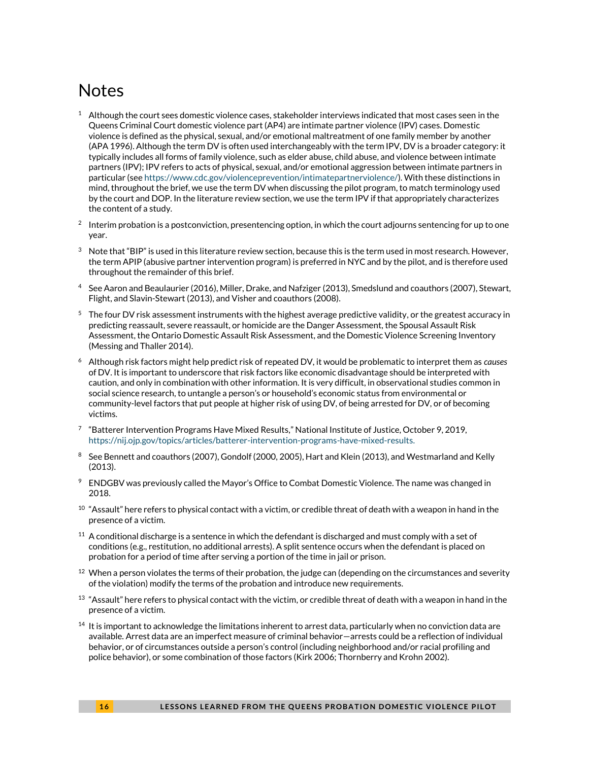# **Notes**

- $1$  Although the court sees domestic violence cases, stakeholder interviews indicated that most cases seen in the Queens Criminal Court domestic violence part (AP4) are intimate partner violence (IPV) cases. Domestic violence is defined as the physical, sexual, and/or emotional maltreatment of one family member by another (APA 1996). Although the term DV is often used interchangeably with the term IPV, DV is a broader category: it typically includes all forms of family violence, such as elder abuse, child abuse, and violence between intimate partners (IPV); IPV refers to acts of physical, sexual, and/or emotional aggression between intimate partners in particular (se[e https://www.cdc.gov/violenceprevention/intimatepartnerviolence/\)](https://www.cdc.gov/violenceprevention/intimatepartnerviolence/). With these distinctions in mind, throughout the brief, we use the term DV when discussing the pilot program, to match terminology used by the court and DOP. In the literature review section, we use the term IPV if that appropriately characterizes the content of a study.
- $2$  Interim probation is a postconviction, presentencing option, in which the court adjourns sentencing for up to one year.
- $3$  Note that "BIP" is used in this literature review section, because this is the term used in most research. However, the term APIP (abusive partner intervention program) is preferred in NYC and by the pilot, and is therefore used throughout the remainder of this brief.
- <sup>4</sup> See Aaron and Beaulaurier (2016), Miller, Drake, and Nafziger (2013), Smedslund and coauthors (2007), Stewart, Flight, and Slavin-Stewart (2013), and Visher and coauthors (2008).
- $5$  The four DV risk assessment instruments with the highest average predictive validity, or the greatest accuracy in predicting reassault, severe reassault, or homicide are the Danger Assessment, the Spousal Assault Risk Assessment, the Ontario Domestic Assault Risk Assessment, and the Domestic Violence Screening Inventory (Messing and Thaller 2014).
- <sup>6</sup> Although risk factors might help predict risk of repeated DV, it would be problematic to interpret them as *causes* of DV. It is important to underscore that risk factors like economic disadvantage should be interpreted with caution, and only in combination with other information. It is very difficult, in observational studies common in social science research, to untangle a person's or household's economic status from environmental or community-level factors that put people at higher risk of using DV, of being arrested for DV, or of becoming victims.
- $\mathrm{^{7}}\;$  "Batterer Intervention Programs Have Mixed Results," National Institute of Justice, October 9, 2019, [https://nij.ojp.gov/topics/articles/batterer-intervention-programs-have-mixed-results.](https://nij.ojp.gov/topics/articles/batterer-intervention-programs-have-mixed-results)
- <sup>8</sup> See Bennett and coauthors (2007), Gondolf (2000, 2005), Hart and Klein (2013), and Westmarland and Kelly (2013).
- $9$  ENDGBV was previously called the Mayor's Office to Combat Domestic Violence. The name was changed in 2018.
- $^{10} \,$  "Assault" here refers to physical contact with a victim, or credible threat of death with a weapon in hand in the presence of a victim.
- $11$  A conditional discharge is a sentence in which the defendant is discharged and must comply with a set of conditions (e.g., restitution, no additional arrests). A split sentence occurs when the defendant is placed on probation for a period of time after serving a portion of the time in jail or prison.
- $12$  When a person violates the terms of their probation, the judge can (depending on the circumstances and severity of the violation) modify the terms of the probation and introduce new requirements.
- $^{13}$  "Assault" here refers to physical contact with the victim, or credible threat of death with a weapon in hand in the presence of a victim.
- $14$  It is important to acknowledge the limitations inherent to arrest data, particularly when no conviction data are available. Arrest data are an imperfect measure of criminal behavior—arrests could be a reflection of individual behavior, or of circumstances outside a person's control (including neighborhood and/or racial profiling and police behavior), or some combination of those factors (Kirk 2006; Thornberry and Krohn 2002).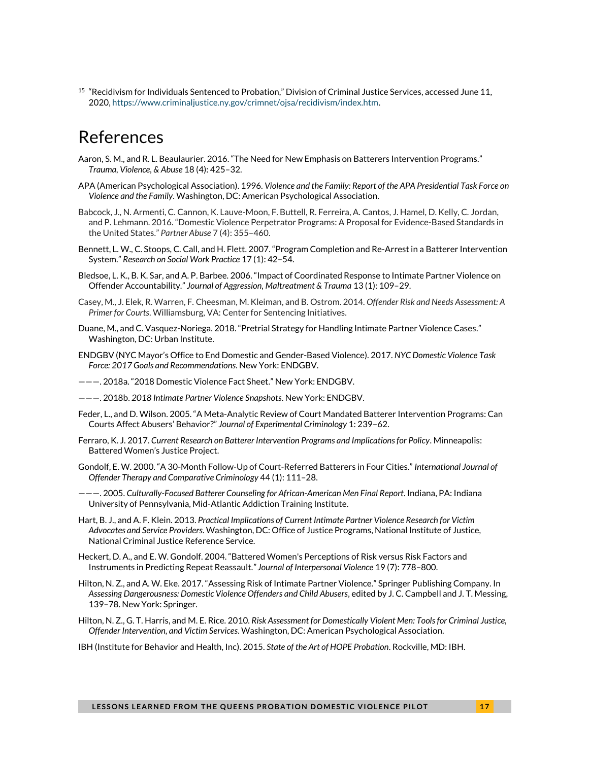<sup>15</sup> "Recidivism for Individuals Sentenced to Probation," Division of Criminal Justice Services, accessed June 11, 2020[, https://www.criminaljustice.ny.gov/crimnet/ojsa/recidivism/index.htm.](https://www.criminaljustice.ny.gov/crimnet/ojsa/recidivism/index.htm) 

# References

- Aaron, S. M., and R. L. Beaulaurier. 2016. "The Need for New Emphasis on Batterers Intervention Programs." *Trauma, Violence, & Abuse* 18 (4): 425–32.
- APA (American Psychological Association). 1996. *Violence and the Family: Report of the APA Presidential Task Force on Violence and the Family*. Washington, DC: American Psychological Association.
- Babcock, J., N. Armenti, C. Cannon, K. Lauve-Moon, F. Buttell, R. Ferreira, A. Cantos, J. Hamel, D. Kelly, C. Jordan, and P. Lehmann. 2016. "Domestic Violence Perpetrator Programs: A Proposal for Evidence-Based Standards in the United States." *Partner Abuse* 7 (4): 355–460.
- Bennett, L. W., C. Stoops, C. Call, and H. Flett. 2007. "Program Completion and Re-Arrest in a Batterer Intervention System." *Research on Social Work Practice* 17 (1): 42–54.
- Bledsoe, L. K., B. K. Sar, and A. P. Barbee. 2006. "Impact of Coordinated Response to Intimate Partner Violence on Offender Accountability." *Journal of Aggression, Maltreatment & Trauma* 13 (1): 109–29.
- Casey, M., J. Elek, R. Warren, F. Cheesman, M. Kleiman, and B. Ostrom. 2014*. Offender Risk and Needs Assessment: A Primer for Courts*. Williamsburg, VA: Center for Sentencing Initiatives.
- Duane, M., and C. Vasquez-Noriega. 2018. "Pretrial Strategy for Handling Intimate Partner Violence Cases." Washington, DC: Urban Institute.
- ENDGBV (NYC Mayor's Office to End Domestic and Gender-Based Violence). 2017. *NYC Domestic Violence Task Force: 2017 Goals and Recommendations*. New York: ENDGBV.
- ———. 2018a. "2018 Domestic Violence Fact Sheet." New York: ENDGBV.
- ———. 2018b. *2018 Intimate Partner Violence Snapshots*. New York: ENDGBV.
- Feder, L., and D. Wilson. 2005. "A Meta-Analytic Review of Court Mandated Batterer Intervention Programs: Can Courts Affect Abusers' Behavior?" *Journal of Experimental Criminology* 1: 239–62.
- Ferraro, K. J. 2017. *Current Research on Batterer Intervention Programs and Implications for Policy*. Minneapolis: Battered Women's Justice Project.
- Gondolf, E. W. 2000. "A 30-Month Follow-Up of Court-Referred Batterers in Four Cities." *International Journal of Offender Therapy and Comparative Criminology* 44 (1): 111–28.
- ———. 2005. *Culturally-Focused Batterer Counseling for African-American Men Final Report*. Indiana, PA: Indiana University of Pennsylvania, Mid-Atlantic Addiction Training Institute.
- Hart, B. J., and A. F. Klein. 2013. *Practical Implications of Current Intimate Partner Violence Research for Victim Advocates and Service Providers*. Washington, DC: Office of Justice Programs, National Institute of Justice, National Criminal Justice Reference Service.
- Heckert, D. A., and E. W. Gondolf. 2004. "Battered Women's Perceptions of Risk versus Risk Factors and Instruments in Predicting Repeat Reassault*." Journal of Interpersonal Violence* 19 (7): 778–800.
- Hilton, N. Z., and A. W. Eke. 2017. "Assessing Risk of Intimate Partner Violence." Springer Publishing Company. In *Assessing Dangerousness: Domestic Violence Offenders and Child Abusers*, edited by J. C. Campbell and J. T. Messing, 139–78. New York: Springer.
- Hilton, N. Z., G. T. Harris, and M. E. Rice. 2010. *Risk Assessment for Domestically Violent Men: Tools for Criminal Justice, Offender Intervention, and Victim Services*. Washington, DC: American Psychological Association.
- IBH (Institute for Behavior and Health, Inc). 2015. *State of the Art of HOPE Probation*. Rockville, MD: IBH.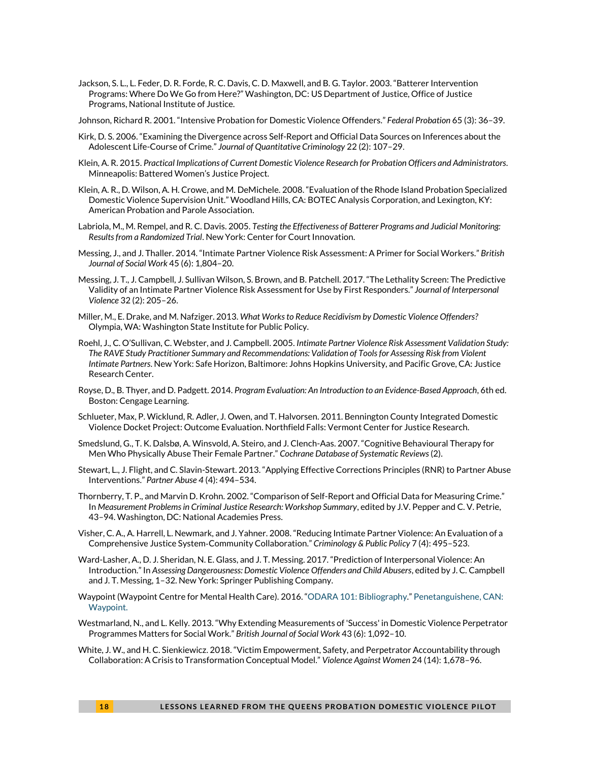Jackson, S. L., L. Feder, D. R. Forde, R. C. Davis, C. D. Maxwell, and B. G. Taylor. 2003. "Batterer Intervention Programs: Where Do We Go from Here?" Washington, DC: US Department of Justice, Office of Justice Programs, National Institute of Justice.

Johnson, Richard R. 2001. "Intensive Probation for Domestic Violence Offenders." *Federal Probation* 65 (3): 36–39.

- Kirk, D. S. 2006. "Examining the Divergence across Self-Report and Official Data Sources on Inferences about the Adolescent Life-Course of Crime." *Journal of Quantitative Criminology* 22 (2): 107–29.
- Klein, A. R. 2015. *Practical Implications of Current Domestic Violence Research for Probation Officers and Administrators*. Minneapolis: Battered Women's Justice Project.
- Klein, A. R., D. Wilson, A. H. Crowe, and M. DeMichele. 2008. "Evaluation of the Rhode Island Probation Specialized Domestic Violence Supervision Unit." Woodland Hills, CA: BOTEC Analysis Corporation, and Lexington, KY: American Probation and Parole Association.
- Labriola, M., M. Rempel, and R. C. Davis. 2005. *Testing the Effectiveness of Batterer Programs and Judicial Monitoring: Results from a Randomized Trial*. New York: Center for Court Innovation.
- Messing, J., and J. Thaller. 2014. "Intimate Partner Violence Risk Assessment: A Primer for Social Workers." *British Journal of Social Work* 45 (6): 1,804–20.
- Messing, J. T., J. Campbell, J. Sullivan Wilson, S. Brown, and B. Patchell. 2017. "The Lethality Screen: The Predictive Validity of an Intimate Partner Violence Risk Assessment for Use by First Responders." *Journal of Interpersonal Violence* 32 (2): 205–26.
- Miller, M., E. Drake, and M. Nafziger. 2013. *What Works to Reduce Recidivism by Domestic Violence Offenders?*  Olympia, WA: Washington State Institute for Public Policy.
- Roehl, J., C. O'Sullivan, C. Webster, and J. Campbell. 2005. *Intimate Partner Violence Risk Assessment Validation Study: The RAVE Study Practitioner Summary and Recommendations: Validation of Tools for Assessing Risk from Violent Intimate Partners*. New York: Safe Horizon, Baltimore: Johns Hopkins University, and Pacific Grove, CA: Justice Research Center.
- Royse, D., B. Thyer, and D. Padgett. 2014. *Program Evaluation: An Introduction to an Evidence-Based Approach*, 6th ed. Boston: Cengage Learning.
- Schlueter, Max, P. Wicklund, R. Adler, J. Owen, and T. Halvorsen. 2011. Bennington County Integrated Domestic Violence Docket Project: Outcome Evaluation. Northfield Falls: Vermont Center for Justice Research.
- Smedslund, G., T. K. Dalsbø, A. Winsvold, A. Steiro, and J. Clench-Aas. 2007. "Cognitive Behavioural Therapy for Men Who Physically Abuse Their Female Partner." *Cochrane Database of Systematic Reviews* (2).
- Stewart, L., J. Flight, and C. Slavin-Stewart. 2013. "Applying Effective Corrections Principles (RNR) to Partner Abuse Interventions." *Partner Abuse 4* (4): 494–534.
- Thornberry, T. P., and Marvin D. Krohn. 2002. "Comparison of Self-Report and Official Data for Measuring Crime." In *Measurement Problems in Criminal Justice Research: Workshop Summary*, edited by J.V. Pepper and C. V. Petrie, 43–94. Washington, DC: National Academies Press.
- Visher, C. A., A. Harrell, L. Newmark, and J. Yahner. 2008. "Reducing Intimate Partner Violence: An Evaluation of a Comprehensive Justice System‐Community Collaboration." *Criminology & Public Policy* 7 (4): 495–523.
- Ward-Lasher, A., D. J. Sheridan, N. E. Glass, and J. T. Messing. 2017. "Prediction of Interpersonal Violence: An Introduction." In *Assessing Dangerousness: Domestic Violence Offenders and Child Abusers*, edited by J. C. Campbell and J. T. Messing, 1–32. New York: Springer Publishing Company.
- Waypoint (Waypoint Centre for Mental Health Care). 2016. "[ODARA 101: Bibliography.](http://www.waypointcentre.ca/UserFiles/Servers/Server_9960/File/Bibliography.pdf)" [Penetanguishene,](file:///D:/Users/zveshancey/AppData/Local/Box/Box%20Edit/Documents/+uEkSpBar0S7XxaU+7b5HQ==/Penetanguishene) CAN: Waypoint.
- Westmarland, N., and L. Kelly. 2013. "Why Extending Measurements of 'Success' in Domestic Violence Perpetrator Programmes Matters for Social Work." *British Journal of Social Work* 43 (6): 1,092–10.
- White, J. W., and H. C. Sienkiewicz. 2018. "Victim Empowerment, Safety, and Perpetrator Accountability through Collaboration: A Crisis to Transformation Conceptual Model." *Violence Against Women* 24 (14): 1,678–96.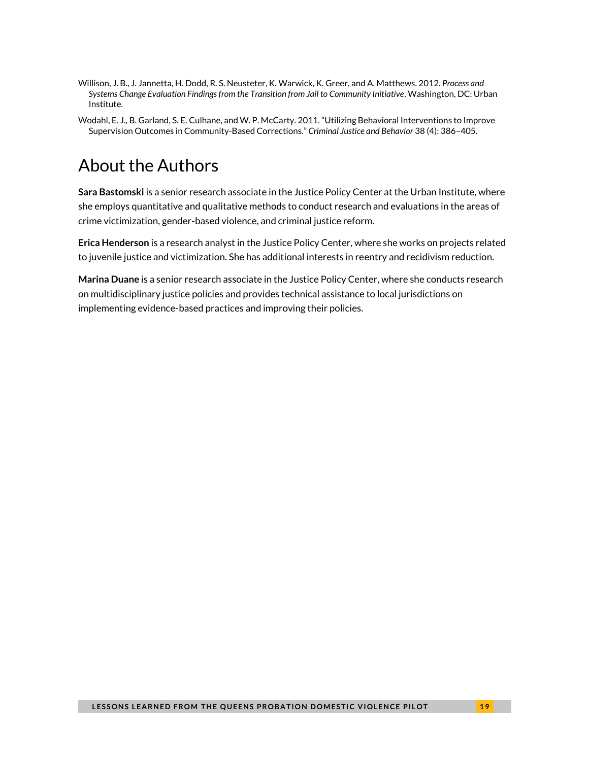- Willison, J. B., J. Jannetta, H. Dodd, R. S. Neusteter, K. Warwick, K. Greer, and A. Matthews. 2012. *Process and Systems Change Evaluation Findings from the Transition from Jail to Community Initiative*. Washington, DC: Urban Institute.
- Wodahl, E. J., B. Garland, S. E. Culhane, and W. P. McCarty. 2011. "Utilizing Behavioral Interventions to Improve Supervision Outcomes in Community-Based Corrections." *Criminal Justice and Behavior* 38 (4): 386–405.

# About the Authors

**Sara Bastomski** is a senior research associate in the Justice Policy Center at the Urban Institute, where she employs quantitative and qualitative methods to conduct research and evaluations in the areas of crime victimization, gender-based violence, and criminal justice reform.

**Erica Henderson** is a research analyst in the Justice Policy Center, where she works on projects related to juvenile justice and victimization. She has additional interests in reentry and recidivism reduction.

**Marina Duane** is a senior research associate in the Justice Policy Center, where she conducts research on multidisciplinary justice policies and provides technical assistance to local jurisdictions on implementing evidence-based practices and improving their policies.